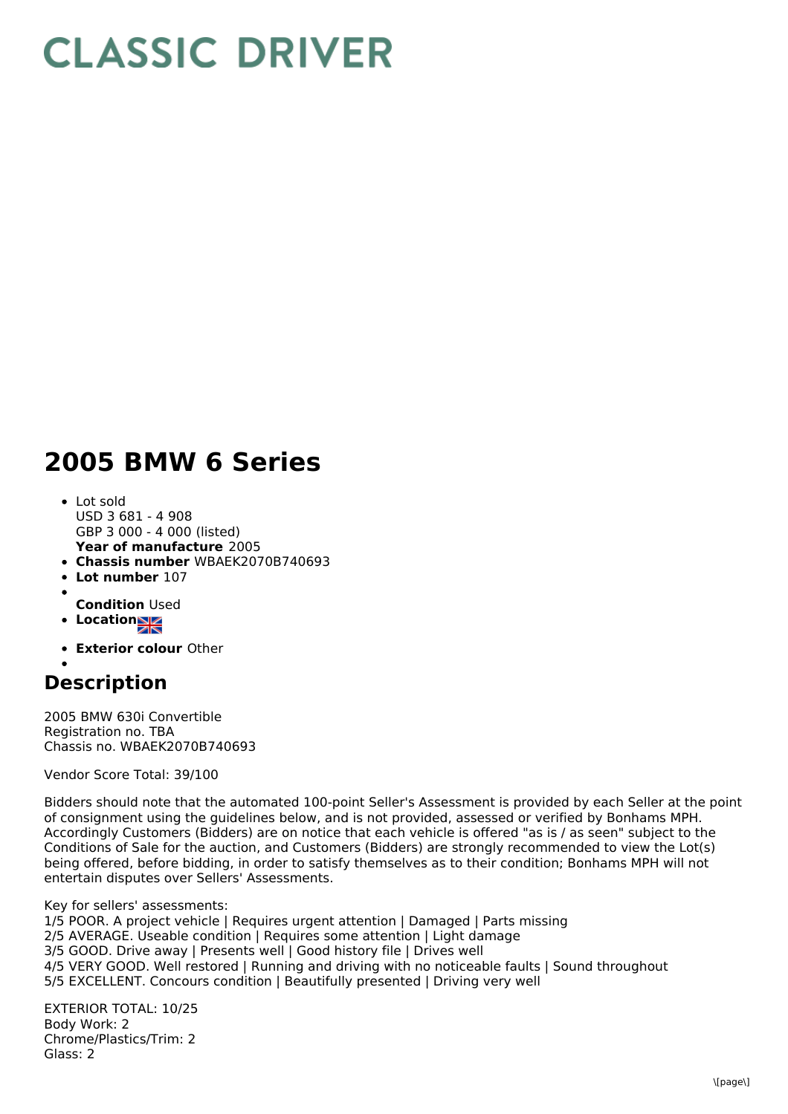## **CLASSIC DRIVER**

## **2005 BMW 6 Series**

- **Year of manufacture** 2005 Lot sold USD 3 681 - 4 908 GBP 3 000 - 4 000 (listed)
- **Chassis number** WBAEK2070B740693
- **Lot number** 107
- 
- **Condition** Used
- **Location**
- **Exterior colour** Other

## **Description**

2005 BMW 630i Convertible Registration no. TBA Chassis no. WBAEK2070B740693

Vendor Score Total: 39/100

Bidders should note that the automated 100-point Seller's Assessment is provided by each Seller at the point of consignment using the guidelines below, and is not provided, assessed or verified by Bonhams MPH. Accordingly Customers (Bidders) are on notice that each vehicle is offered "as is / as seen" subject to the Conditions of Sale for the auction, and Customers (Bidders) are strongly recommended to view the Lot(s) being offered, before bidding, in order to satisfy themselves as to their condition; Bonhams MPH will not entertain disputes over Sellers' Assessments.

Key for sellers' assessments: 1/5 POOR. A project vehicle | Requires urgent attention | Damaged | Parts missing 2/5 AVERAGE. Useable condition | Requires some attention | Light damage 3/5 GOOD. Drive away | Presents well | Good history file | Drives well 4/5 VERY GOOD. Well restored | Running and driving with no noticeable faults | Sound throughout 5/5 EXCELLENT. Concours condition | Beautifully presented | Driving very well

EXTERIOR TOTAL: 10/25 Body Work: 2 Chrome/Plastics/Trim: 2 Glass: 2